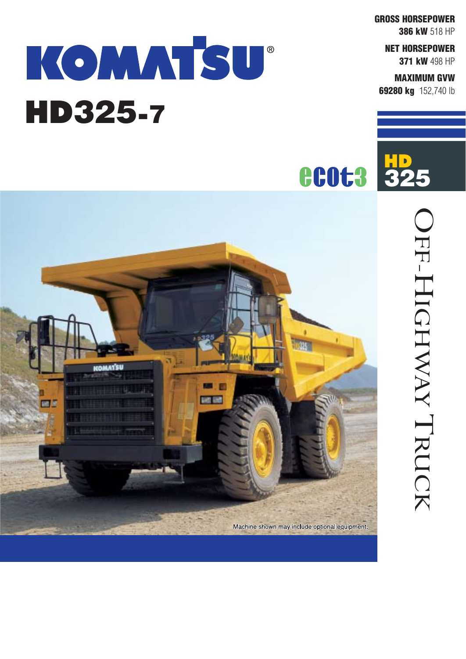**GROSS HORSEPOWER**

**386 kW** 518 HP

**NET HORSEPOWER 371 kW** 498 HP

#### **MAXIMUM GVW**

OFF-HIGHWAY

OFF-HIGHWAY TRUCK

TRUCK

**69280 kg** 152,740 lb

# KOMATSU<sup>®</sup> HD325-7



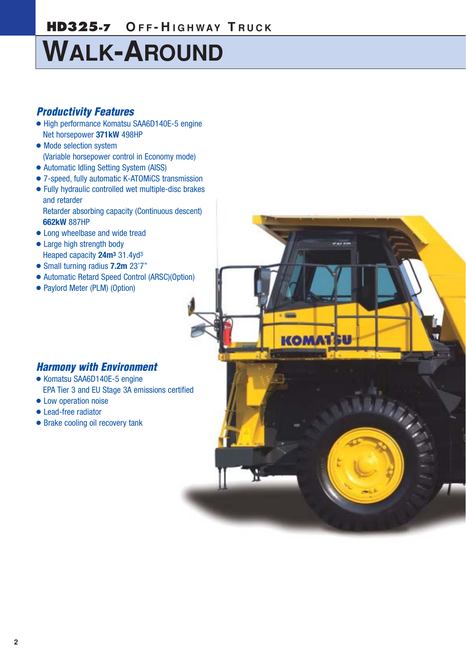## **HD325-7 O F F - H IGHWAY T R UCK**

# **WALK-AROUND**

### *Productivity Features*

- High performance Komatsu SAA6D140E-5 engine Net horsepower **371kW** 498HP
- Mode selection system (Variable horsepower control in Economy mode)
- Automatic Idling Setting System (AISS)
- 7-speed, fully automatic K-ATOMiCS transmission
- Fully hydraulic controlled wet multiple-disc brakes and retarder Retarder absorbing capacity (Continuous descent)
- **662kW** 887HP
- Long wheelbase and wide tread
- Large high strength body Heaped capacity **24m3** 31.4yd3
- Small turning radius **7.2m** 23'7"
- Automatic Retard Speed Control (ARSC)(Option)

 $\sim$ 

**KOMATSU** 

**WARDER** 

● Paylord Meter (PLM) (Option)

### *Harmony with Environment*

- Komatsu SAA6D140E-5 engine EPA Tier 3 and EU Stage 3A emissions certified
- Low operation noise
- Lead-free radiator
- Brake cooling oil recovery tank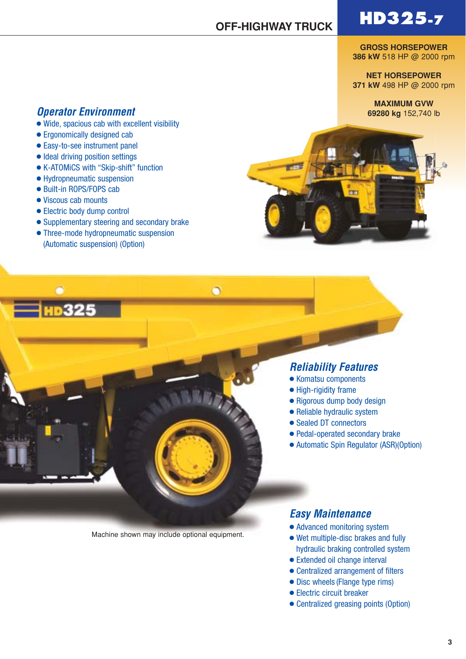**GROSS HORSEPOWER 386 kW** 518 HP @ 2000 rpm

**NET HORSEPOWER 371 kW** 498 HP @ 2000 rpm

> **MAXIMUM GVW 69280 kg** 152,740 lb

### *Operator Environment*

- Wide, spacious cab with excellent visibility
- Ergonomically designed cab
- Easy-to-see instrument panel
- Ideal driving position settings
- K-ATOMiCS with "Skip-shift" function
- Hydropneumatic suspension
- Built-in ROPS/FOPS cab
- Viscous cab mounts
- Electric body dump control
- Supplementary steering and secondary brake
- Three-mode hydropneumatic suspension (Automatic suspension) (Option)



#### *Reliability Features*

- Komatsu components
- High-rigidity frame
- Rigorous dump body design
- Reliable hydraulic system
- Sealed DT connectors
- Pedal-operated secondary brake
- Automatic Spin Regulator (ASR)(Option)

Machine shown may include optional equipment.

 $\bullet$ 

### *Easy Maintenance*

- Advanced monitoring system
- Wet multiple-disc brakes and fully hydraulic braking controlled system
- Extended oil change interval
- Centralized arrangement of filters
- Disc wheels (Flange type rims)
- Electric circuit breaker
- Centralized greasing points (Option)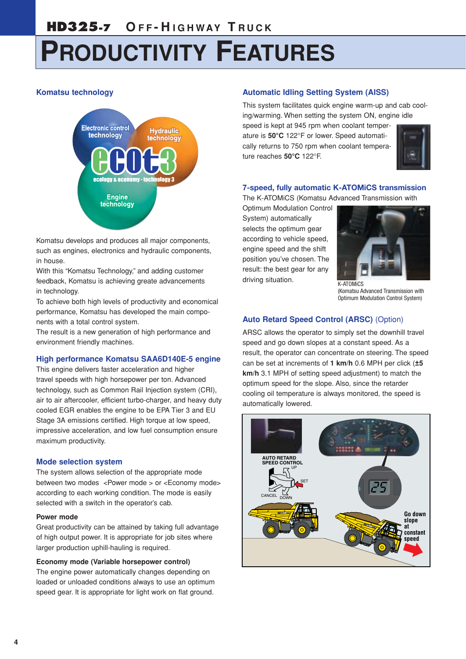# **PRODUCTIVITY FEATURES**

#### **Komatsu technology**



Komatsu develops and produces all major components, such as engines, electronics and hydraulic components, in house.

With this "Komatsu Technology," and adding customer feedback, Komatsu is achieving greate advancements in technology.

To achieve both high levels of productivity and economical performance, Komatsu has developed the main components with a total control system.

The result is a new generation of high performance and environment friendly machines.

#### **High performance Komatsu SAA6D140E-5 engine**

This engine delivers faster acceleration and higher travel speeds with high horsepower per ton. Advanced technology, such as Common Rail Injection system (CRI), air to air aftercooler, efficient turbo-charger, and heavy duty cooled EGR enables the engine to be EPA Tier 3 and EU Stage 3A emissions certified. High torque at low speed, impressive acceleration, and low fuel consumption ensure maximum productivity.

#### **Mode selection system**

The system allows selection of the appropriate mode between two modes <Power mode > or <Economy mode> according to each working condition. The mode is easily selected with a switch in the operator's cab.

#### **Power mode**

Great productivity can be attained by taking full advantage of high output power. It is appropriate for job sites where larger production uphill-hauling is required.

#### **Economy mode (Variable horsepower control)**

The engine power automatically changes depending on loaded or unloaded conditions always to use an optimum speed gear. It is appropriate for light work on flat ground.

#### **Automatic Idling Setting System (AISS)**

This system facilitates quick engine warm-up and cab cooling/warming. When setting the system ON, engine idle

speed is kept at 945 rpm when coolant temperature is **50°C** 122°F or lower. Speed automatically returns to 750 rpm when coolant temperature reaches **50°C** 122°F.



#### **7-speed, fully automatic K-ATOMiCS transmission**

The K-ATOMiCS (Komatsu Advanced Transmission with

Optimum Modulation Control System) automatically selects the optimum gear according to vehicle speed, engine speed and the shift position you've chosen. The result: the best gear for any driving situation. The Real Control of the Real Control of the Real Control of the Real Control of the Real Co



(Komatsu Advanced Transmission with Optimum Modulation Control System)

#### **Auto Retard Speed Control (ARSC)** (Option)

ARSC allows the operator to simply set the downhill travel speed and go down slopes at a constant speed. As a result, the operator can concentrate on steering. The speed can be set at increments of **1 km/h** 0.6 MPH per click (**±5 km/h** 3.1 MPH of setting speed adjustment) to match the optimum speed for the slope. Also, since the retarder cooling oil temperature is always monitored, the speed is automatically lowered.

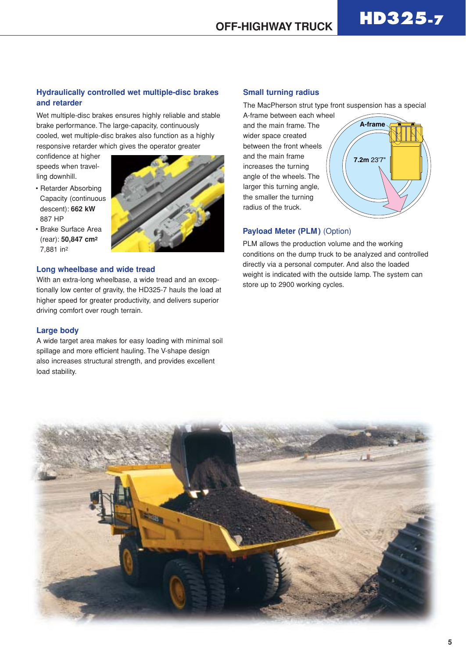#### **Hydraulically controlled wet multiple-disc brakes and retarder**

Wet multiple-disc brakes ensures highly reliable and stable brake performance. The large-capacity, continuously cooled, wet multiple-disc brakes also function as a highly responsive retarder which gives the operator greater

confidence at higher speeds when travelling downhill.

- Retarder Absorbing Capacity (continuous descent): **662 kW** 887 HP
- Brake Surface Area (rear): **50,847 cm2** 7,881 in2

#### **Long wheelbase and wide tread**

With an extra-long wheelbase, a wide tread and an exceptionally low center of gravity, the HD325-7 hauls the load at higher speed for greater productivity, and delivers superior driving comfort over rough terrain.

#### **Large body**

A wide target area makes for easy loading with minimal soil spillage and more efficient hauling. The V-shape design also increases structural strength, and provides excellent load stability.

#### **Small turning radius**

The MacPherson strut type front suspension has a special

A-frame between each wheel and the main frame. The wider space created between the front wheels and the main frame increases the turning angle of the wheels. The larger this turning angle, the smaller the turning radius of the truck.



#### **Payload Meter (PLM)** (Option)

PLM allows the production volume and the working conditions on the dump truck to be analyzed and controlled directly via a personal computer. And also the loaded weight is indicated with the outside lamp. The system can store up to 2900 working cycles.

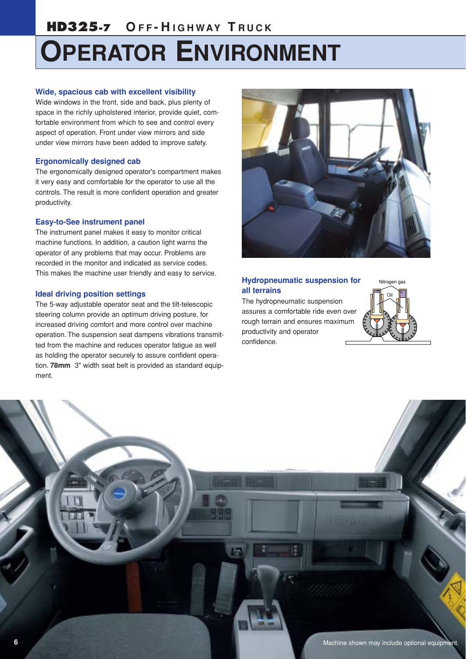## **HD325-7 O F F - H IGHWAY T R UCK**

# **OPERATOR ENVIRONMENT**

#### **Wide, spacious cab with excellent visibility**

Wide windows in the front, side and back, plus plenty of space in the richly upholstered interior, provide quiet, comfortable environment from which to see and control every aspect of operation. Front under view mirrors and side under view mirrors have been added to improve safety.

#### **Ergonomically designed cab**

The ergonomically designed operator's compartment makes it very easy and comfortable for the operator to use all the controls. The result is more confident operation and greater productivity.

#### **Easy-to-See instrument panel**

The instrument panel makes it easy to monitor critical machine functions. In addition, a caution light warns the operator of any problems that may occur. Problems are recorded in the monitor and indicated as service codes. This makes the machine user friendly and easy to service.

#### **Ideal driving position settings**

The 5-way adjustable operator seat and the tilt-telescopic steering column provide an optimum driving posture, for increased driving comfort and more control over machine operation. The suspension seat dampens vibrations transmitted from the machine and reduces operator fatigue as well as holding the operator securely to assure confident operation. **78mm** 3" width seat belt is provided as standard equipment.



#### **Hydropneumatic suspension for all terrains**

The hydropneumatic suspension assures a comfortable ride even over rough terrain and ensures maximum productivity and operator confidence.



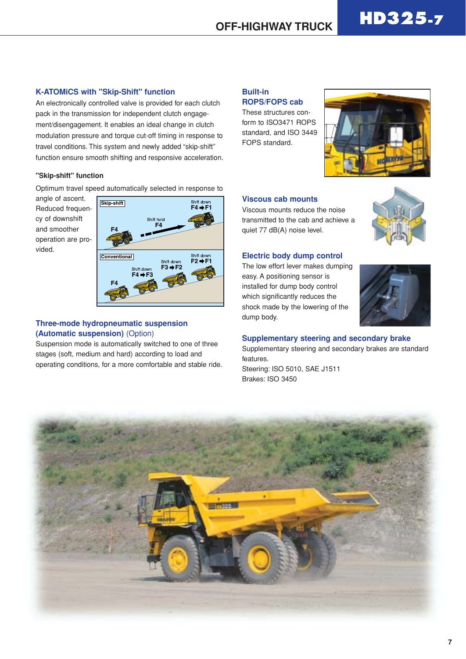#### **K-ATOMiCS with "Skip-Shift" function**

An electronically controlled valve is provided for each clutch pack in the transmission for independent clutch engagement/disengagement. It enables an ideal change in clutch modulation pressure and torque cut-off timing in response to travel conditions. This system and newly added "skip-shift" function ensure smooth shifting and responsive acceleration.

#### **"Skip-shift" function**

Optimum travel speed automatically selected in response to

angle of ascent. Reduced frequency of downshift and smoother operation are provided.



#### **Three-mode hydropneumatic suspension (Automatic suspension)** (Option)

Suspension mode is automatically switched to one of three stages (soft, medium and hard) according to load and operating conditions, for a more comfortable and stable ride.

#### **Built-in ROPS/FOPS cab**

These structures conform to ISO3471 ROPS standard, and ISO 3449 FOPS standard.



#### **Viscous cab mounts**

Viscous mounts reduce the noise transmitted to the cab and achieve a quiet 77 dB(A) noise level.



#### **Electric body dump control**

The low effort lever makes dumping easy. A positioning sensor is installed for dump body control which significantly reduces the shock made by the lowering of the dump body.



**Supplementary steering and secondary brake**

Supplementary steering and secondary brakes are standard features.

Steering: ISO 5010, SAE J1511 Brakes: ISO 3450

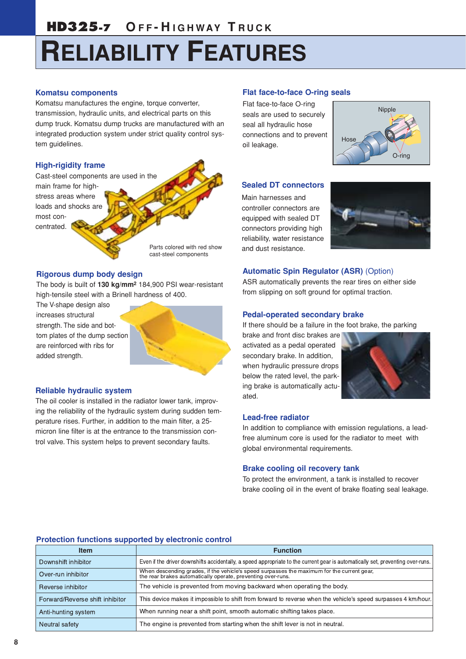# **RELIABILITY FEATURES**

#### **Komatsu components**

Komatsu manufactures the engine, torque converter, transmission, hydraulic units, and electrical parts on this dump truck. Komatsu dump trucks are manufactured with an integrated production system under strict quality control system guidelines.

#### **High-rigidity frame**

Cast-steel components are used in the main frame for highstress areas where loads and shocks are most concentrated.

> Parts colored with red show cast-steel components

#### **Rigorous dump body design**

The body is built of **130 kg/mm2** 184,900 PSI wear-resistant high-tensile steel with a Brinell hardness of 400.

The V-shape design also increases structural strength. The side and bottom plates of the dump section are reinforced with ribs for added strength.

#### **Reliable hydraulic system**

The oil cooler is installed in the radiator lower tank, improving the reliability of the hydraulic system during sudden temperature rises. Further, in addition to the main filter, a 25 micron line filter is at the entrance to the transmission control valve. This system helps to prevent secondary faults.

#### **Flat face-to-face O-ring seals**

Flat face-to-face O-ring seals are used to securely seal all hydraulic hose connections and to prevent oil leakage.



#### **Sealed DT connectors**

Main harnesses and controller connectors are equipped with sealed DT connectors providing high reliability, water resistance and dust resistance.



#### **Automatic Spin Regulator (ASR)** (Option)

ASR automatically prevents the rear tires on either side from slipping on soft ground for optimal traction.

#### **Pedal-operated secondary brake**

If there should be a failure in the foot brake, the parking

brake and front disc brakes are activated as a pedal operated secondary brake. In addition, when hydraulic pressure drops below the rated level, the parking brake is automatically actuated.



#### **Lead-free radiator**

In addition to compliance with emission regulations, a leadfree aluminum core is used for the radiator to meet with global environmental requirements.

#### **Brake cooling oil recovery tank**

To protect the environment, a tank is installed to recover brake cooling oil in the event of brake floating seal leakage.

#### **Protection functions supported by electronic control**

| <b>Item</b>                     | <b>Function</b>                                                                                                                                            |
|---------------------------------|------------------------------------------------------------------------------------------------------------------------------------------------------------|
| Downshift inhibitor             | Even if the driver downshifts accidentally, a speed appropriate to the current gear is automatically set, preventing over-runs.                            |
| Over-run inhibitor              | When descending grades, if the vehicle's speed surpasses the maximum for the current gear,<br>the rear brakes automatically operate, preventing over-runs. |
| Reverse inhibitor               | The vehicle is prevented from moving backward when operating the body.                                                                                     |
| Forward/Reverse shift inhibitor | This device makes it impossible to shift from forward to reverse when the vehicle's speed surpasses 4 km/hour.                                             |
| Anti-hunting system             | When running near a shift point, smooth automatic shifting takes place.                                                                                    |
| Neutral safety                  | The engine is prevented from starting when the shift lever is not in neutral.                                                                              |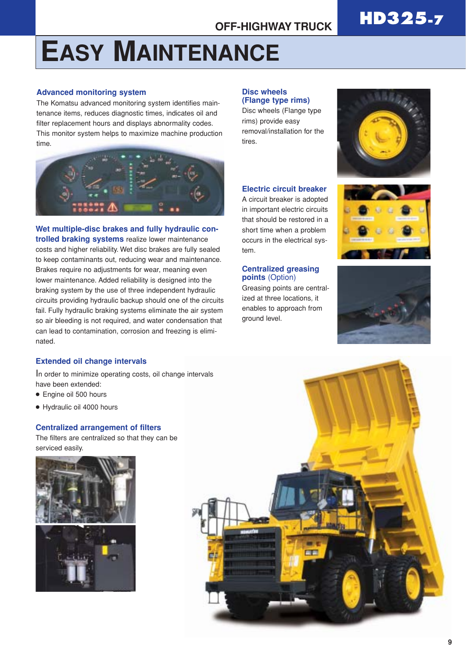# **EASY MAINTENANCE**

#### **Advanced monitoring system**

The Komatsu advanced monitoring system identifies maintenance items, reduces diagnostic times, indicates oil and filter replacement hours and displays abnormality codes. This monitor system helps to maximize machine production time.



#### **Wet multiple-disc brakes and fully hydraulic con-**

**trolled braking systems** realize lower maintenance costs and higher reliability. Wet disc brakes are fully sealed to keep contaminants out, reducing wear and maintenance. Brakes require no adjustments for wear, meaning even lower maintenance. Added reliability is designed into the braking system by the use of three independent hydraulic circuits providing hydraulic backup should one of the circuits fail. Fully hydraulic braking systems eliminate the air system so air bleeding is not required, and water condensation that can lead to contamination, corrosion and freezing is eliminated.

#### **Extended oil change intervals**

In order to minimize operating costs, oil change intervals have been extended:

- Engine oil 500 hours
- Hydraulic oil 4000 hours

#### **Centralized arrangement of filters**

The filters are centralized so that they can be serviced easily.



#### **Disc wheels (Flange type rims)**

Disc wheels (Flange type rims) provide easy removal/installation for the tires.



#### **Electric circuit breaker**

A circuit breaker is adopted in important electric circuits that should be restored in a short time when a problem occurs in the electrical system.

#### **Centralized greasing points** (Option)

Greasing points are centralized at three locations, it enables to approach from ground level.





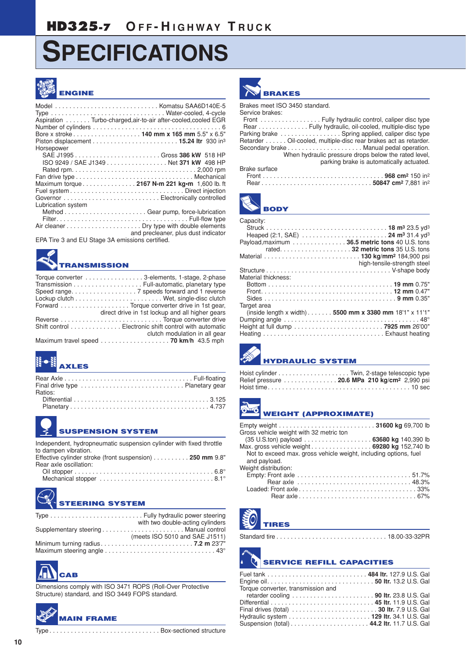## **SPECIFICATIONS**



## **ENGINE**

|                                                               | Model  Komatsu SAA6D140E-5                    |
|---------------------------------------------------------------|-----------------------------------------------|
| Aspiration Turbo-charged, air-to-air after-cooled, cooled EGR |                                               |
|                                                               |                                               |
|                                                               | Bore x stroke 140 mm x 165 mm 5.5" x 6.5"     |
|                                                               |                                               |
| Horsepower                                                    |                                               |
|                                                               | SAE J1995Gross 386 kW 518 HP                  |
|                                                               | ISO 9249 / SAE J1349 Net 371 kW 498 HP        |
|                                                               |                                               |
|                                                               |                                               |
|                                                               | Maximum torque 2167 N-m 221 kg-m 1,600 lb. ft |
|                                                               |                                               |
|                                                               |                                               |
| Lubrication system                                            |                                               |
|                                                               |                                               |
|                                                               |                                               |
|                                                               |                                               |
|                                                               | and precleaner, plus dust indicator           |

EPA Tire 3 and EU Stage 3A emissions certified.

## **TRANSMISSION**

| Torque converter 3-elements, 1-stage, 2-phase                                       |
|-------------------------------------------------------------------------------------|
| Transmission Full-automatic, planetary type                                         |
|                                                                                     |
|                                                                                     |
| Forward Torque converter drive in 1st gear,                                         |
| direct drive in 1st lockup and all higher gears                                     |
|                                                                                     |
| Shift control Electronic shift control with automatic                               |
| clutch modulation in all gear                                                       |
| Maximum travel speed $\ldots \ldots \ldots \ldots \ldots \ldots$ . 70 km/h 43.5 mph |

## **AXLES**

| Ratios: |  |
|---------|--|
|         |  |
|         |  |

#### **SUSPENSION SYSTEM**

Independent, hydropneumatic suspension cylinder with fixed throttle to dampen vibration.<br>Effective exlinder stre Effective cylinder stroke (front suspension) . . . . . . . . . . **250 mm** 9.8"

| LITECTIVE CATTLINE SILOPE (TIONIL SUSPENSION) 200 THILL 3.0 |  |
|-------------------------------------------------------------|--|
| Rear axle oscillation:                                      |  |
|                                                             |  |
|                                                             |  |

## **STEERING SYSTEM**

| with two double-acting cylinders |
|----------------------------------|
|                                  |
| (meets ISO 5010 and SAE J1511)   |
|                                  |
|                                  |



Dimensions comply with ISO 3471 ROPS (Roll-Over Protective Structure) standard, and ISO 3449 FOPS standard.

### **MAIN FRAME**

Type . . . . . . . . . . . . . . . . . . . . . . . . . . . . . . . Box-sectioned structure



#### Brakes meet ISO 3450 standard.

Service brakes:

Front . . . . . . . . . . . . . . . . . Fully hydraulic control, caliper disc type Rear . . . . . . . . . . . . . . Fully hydraulic, oil-cooled, multiple-disc type Parking brake . . . . . . . . . . . . . . . . . Spring applied, caliper disc type Retarder . . . . . . Oil-cooled, multiple-disc rear brakes act as retarder. Secondary brake . . . . . . . . . . . . . . . . . . . . . Manual pedal operation. When hydraulic pressure drops below the rated level, parking brake is automatically actuated. Brake surface Front . . . . . . . . . . . . . . . . . . . . . . . . . . . . . . . . . . **968 cm2** 150 in2 Rear . . . . . . . . . . . . . . . . . . . . . . . . . . . . . . . **50847 cm2** 7,881 in2



| Capacity:                                      |                                                          |
|------------------------------------------------|----------------------------------------------------------|
|                                                |                                                          |
| Payload, maximum 36.5 metric tons 40 U.S. tons |                                                          |
|                                                |                                                          |
|                                                | high-tensile-strength steel                              |
|                                                |                                                          |
| Material thickness:                            |                                                          |
|                                                |                                                          |
|                                                |                                                          |
|                                                |                                                          |
| Target area                                    |                                                          |
|                                                | (inside length x width). 5500 mm x 3380 mm 18'1" x 11'1" |
|                                                |                                                          |
|                                                |                                                          |
|                                                |                                                          |



### **HYDRAULIC SYSTEM**

| Relief pressure  20.6 MPa 210 kg/cm <sup>2</sup> 2.990 psi |  |  |
|------------------------------------------------------------|--|--|
|                                                            |  |  |

**WEIGHT (APPROXIMATE)**

| Gross vehicle weight with 32 metric ton                          |  |
|------------------------------------------------------------------|--|
|                                                                  |  |
| Max. gross vehicle weight 69280 kg 152,740 lb                    |  |
| Not to exceed max, gross vehicle weight, including options, fuel |  |
| and payload.                                                     |  |
| Weight distribution:                                             |  |
|                                                                  |  |
|                                                                  |  |
|                                                                  |  |
|                                                                  |  |
|                                                                  |  |

**TIRES**

Standard tire . . . . . . . . . . . . . . . . . . . . . . . . . . . . . . . 18.00-33-32PR

### **SERVICE REFILL CAPACITIES**

| Torque converter, transmission and         |  |
|--------------------------------------------|--|
|                                            |  |
|                                            |  |
| Final drives (total)  30 Itr. 7.9 U.S. Gal |  |
|                                            |  |
|                                            |  |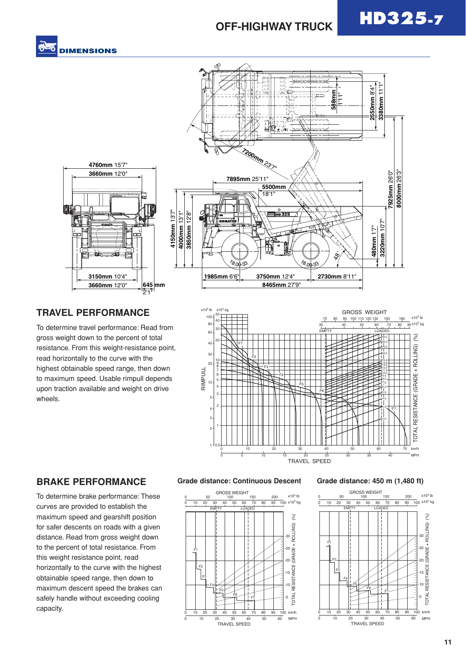



#### **TRAVEL PERFORMANCE**

To determine travel performance: Read from gross weight down to the percent of total resistance. From this weight-resistance point, read horizontally to the curve with the highest obtainable speed range, then down to maximum speed. Usable rimpull depends upon traction available and weight on drive wheels.

2'1"



#### **BRAKE PERFORMANCE**

To determine brake performance: These curves are provided to establish the maximum speed and gearshift position for safer descents on roads with a given distance. Read from gross weight down to the percent of total resistance. From this weight resistance point, read horizontally to the curve with the highest obtainable speed range, then down to maximum descent speed the brakes can safely handle without exceeding cooling capacity.

#### **Grade distance: Continuous Descent Grade distance: 450 m (1,480 ft)**